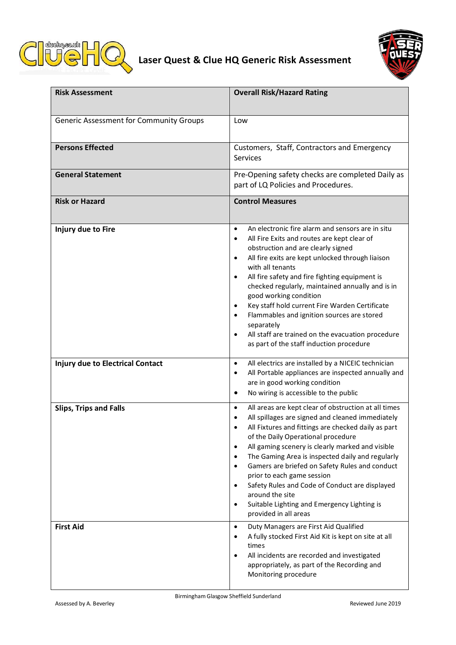



| <b>Risk Assessment</b>                  | <b>Overall Risk/Hazard Rating</b>                                                                                                                                                                                                                                                                                                                                                                                                                                                                                                                                                                                |
|-----------------------------------------|------------------------------------------------------------------------------------------------------------------------------------------------------------------------------------------------------------------------------------------------------------------------------------------------------------------------------------------------------------------------------------------------------------------------------------------------------------------------------------------------------------------------------------------------------------------------------------------------------------------|
| Generic Assessment for Community Groups | Low                                                                                                                                                                                                                                                                                                                                                                                                                                                                                                                                                                                                              |
| <b>Persons Effected</b>                 | Customers, Staff, Contractors and Emergency<br><b>Services</b>                                                                                                                                                                                                                                                                                                                                                                                                                                                                                                                                                   |
| <b>General Statement</b>                | Pre-Opening safety checks are completed Daily as<br>part of LQ Policies and Procedures.                                                                                                                                                                                                                                                                                                                                                                                                                                                                                                                          |
| <b>Risk or Hazard</b>                   | <b>Control Measures</b>                                                                                                                                                                                                                                                                                                                                                                                                                                                                                                                                                                                          |
| Injury due to Fire                      | An electronic fire alarm and sensors are in situ<br>$\bullet$<br>All Fire Exits and routes are kept clear of<br>$\bullet$<br>obstruction and are clearly signed<br>All fire exits are kept unlocked through liaison<br>$\bullet$<br>with all tenants<br>All fire safety and fire fighting equipment is<br>$\bullet$<br>checked regularly, maintained annually and is in<br>good working condition<br>Key staff hold current Fire Warden Certificate<br>Flammables and ignition sources are stored<br>separately<br>All staff are trained on the evacuation procedure<br>as part of the staff induction procedure |
| <b>Injury due to Electrical Contact</b> | All electrics are installed by a NICEIC technician<br>$\bullet$<br>All Portable appliances are inspected annually and<br>$\bullet$<br>are in good working condition<br>No wiring is accessible to the public<br>$\bullet$                                                                                                                                                                                                                                                                                                                                                                                        |
| <b>Slips, Trips and Falls</b>           | All areas are kept clear of obstruction at all times<br>All spillages are signed and cleaned immediately<br>All Fixtures and fittings are checked daily as part<br>of the Daily Operational procedure<br>All gaming scenery is clearly marked and visible<br>$\bullet$<br>The Gaming Area is inspected daily and regularly<br>Gamers are briefed on Safety Rules and conduct<br>$\bullet$<br>prior to each game session<br>Safety Rules and Code of Conduct are displayed<br>around the site<br>Suitable Lighting and Emergency Lighting is<br>provided in all areas                                             |
| <b>First Aid</b>                        | Duty Managers are First Aid Qualified<br>$\bullet$<br>A fully stocked First Aid Kit is kept on site at all<br>times<br>All incidents are recorded and investigated<br>appropriately, as part of the Recording and<br>Monitoring procedure                                                                                                                                                                                                                                                                                                                                                                        |